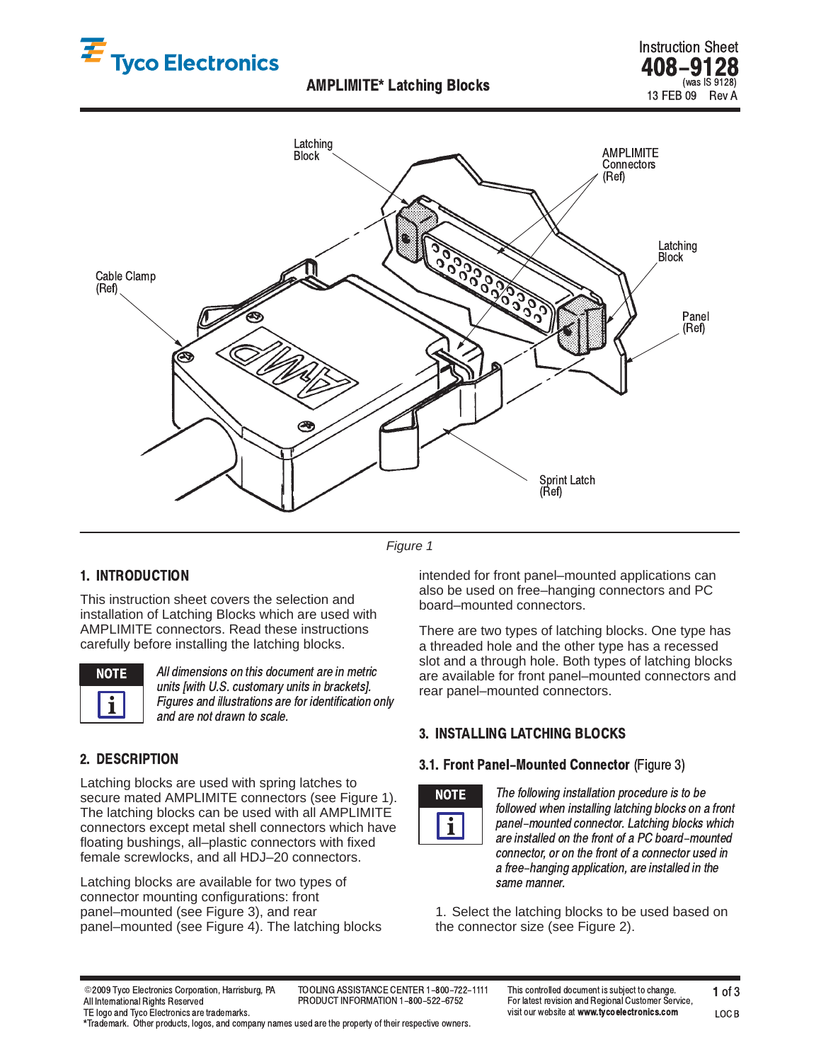





*Figure 1*

# 1. INTRODUCTION

This instruction sheet covers the selection and installation of Latching Blocks which are used with AMPLIMITE connectors. Read these instructions carefully before installing the latching blocks.



All dimensions on this document are in metric units [with U.S. customary units in brackets]. Figures and illustrations are for identification only and are not drawn to scale.

## 2. DESCRIPTION

Latching blocks are used with spring latches to secure mated AMPLIMITE connectors (see Figure 1). The latching blocks can be used with all AMPLIMITE connectors except metal shell connectors which have floating bushings, all–plastic connectors with fixed female screwlocks, and all HDJ–20 connectors.

Latching blocks are available for two types of connector mounting configurations: front panel–mounted (see Figure 3), and rear panel–mounted (see Figure 4). The latching blocks intended for front panel–mounted applications can also be used on free–hanging connectors and PC board–mounted connectors.

There are two types of latching blocks. One type has a threaded hole and the other type has a recessed slot and a through hole. Both types of latching blocks are available for front panel–mounted connectors and rear panel–mounted connectors.

## 3. INSTALLING LATCHING BLOCKS

#### 3.1. Front Panel-Mounted Connector (Figure 3)



The following installation procedure is to be -followed when installing latching blocks on a front -panel-mounted connector. Latching blocks which are installed on the front of a PC board–mounted connector, or on the front of a connector used in a free–hanging application, are installed in the same manner.

1. Select the latching blocks to be used based on the connector size (see Figure 2).

@2009 Tyco Electronics Corporation All International Rights Reserved TE logo and Tyco Electronics are trademarks. PRODUCT INFORMATION 1-800-522-6752

LOC B

\*Trademark. Other products, logos, and company names used are the property of their respective owners.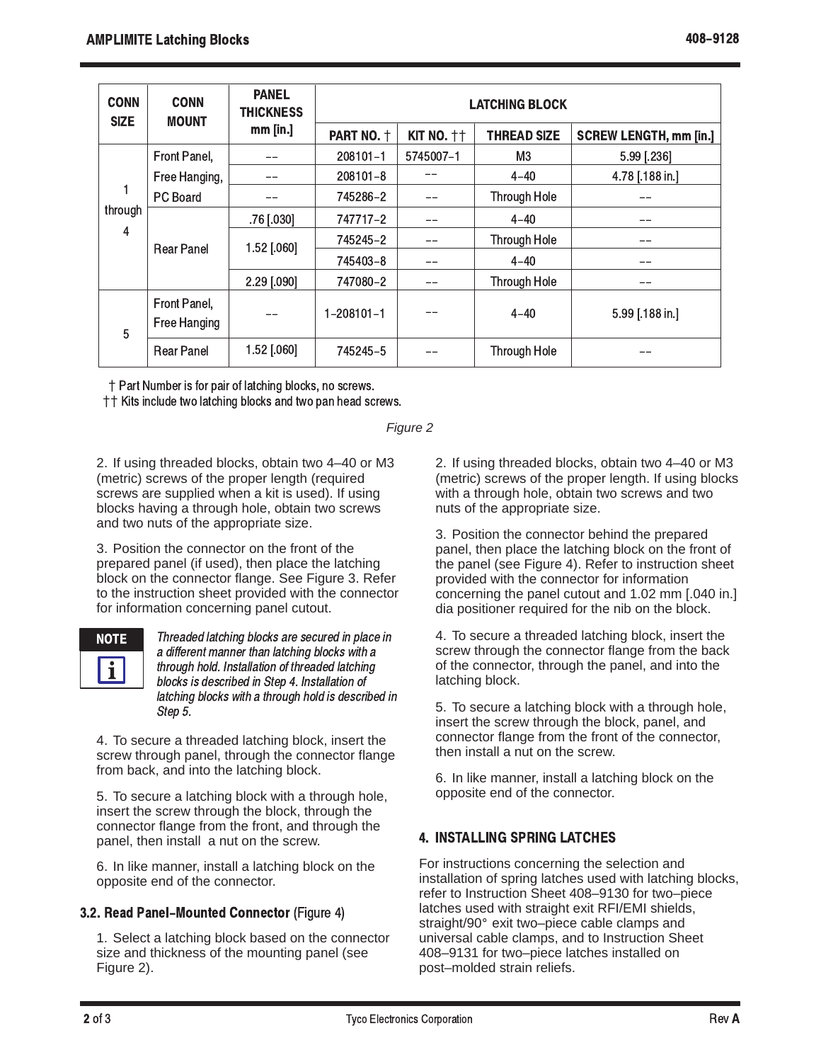| <b>CONN</b><br><b>SIZE</b> | <b>CONN</b><br><b>MOUNT</b>  | <b>PANEL</b><br><b>THICKNESS</b><br>$mm$ [in.] | <b>LATCHING BLOCK</b> |                   |                     |                               |
|----------------------------|------------------------------|------------------------------------------------|-----------------------|-------------------|---------------------|-------------------------------|
|                            |                              |                                                | PART NO. +            | <b>KIT NO. ++</b> | <b>THREAD SIZE</b>  | <b>SCREW LENGTH, mm [in.]</b> |
| through<br>4               | Front Panel,                 |                                                | 208101-1              | 5745007-1         | M3                  | 5.99 [.236]                   |
|                            | Free Hanging,                |                                                | 208101-8              |                   | $4 - 40$            | 4.78 [.188 in.]               |
|                            | PC Board                     |                                                | 745286-2              |                   | <b>Through Hole</b> |                               |
|                            | <b>Rear Panel</b>            | .76 [.030]                                     | 747717-2              |                   | $4 - 40$            |                               |
|                            |                              | 1.52 [.060]                                    | 745245-2              |                   | Through Hole        | --                            |
|                            |                              |                                                | 745403-8              |                   | $4 - 40$            |                               |
|                            |                              | 2.29 [.090]                                    | 747080-2              |                   | <b>Through Hole</b> |                               |
| 5                          | Front Panel,<br>Free Hanging |                                                | $1 - 208101 - 1$      |                   | $4 - 40$            | 5.99 [.188 in.]               |
|                            | <b>Rear Panel</b>            | 1.52 [.060]                                    | 745245-5              |                   | Through Hole        |                               |

 $\dagger$  Part Number is for pair of latching blocks, no screws.

 $\dagger$  + Kits include two latching blocks and two pan head screws.

*Figure 2*

2. If using threaded blocks, obtain two 4–40 or M3 (metric) screws of the proper length (required screws are supplied when a kit is used). If using blocks having a through hole, obtain two screws and two nuts of the appropriate size.

3. Position the connector on the front of the prepared panel (if used), then place the latching block on the connector flange. See Figure 3. Refer to the instruction sheet provided with the connector for information concerning panel cutout.

 

Threaded latching blocks are secured in place in İ a different manner than latching blocks with a İ through hold. Installation of threaded latching i blocks is described in Step 4. Installation of latching blocks with a through hold is described in İ Step 5.

4. To secure a threaded latching block, insert the screw through panel, through the connector flange from back, and into the latching block.

5. To secure a latching block with a through hole, insert the screw through the block, through the connector flange from the front, and through the panel, then install a nut on the screw.

6. In like manner, install a latching block on the opposite end of the connector.

# 3.2. Read Panel-Mounted Connector (Figure 4)

1. Select a latching block based on the connector size and thickness of the mounting panel (see Figure 2).

2. If using threaded blocks, obtain two 4–40 or M3 (metric) screws of the proper length. If using blocks with a through hole, obtain two screws and two nuts of the appropriate size.

3. Position the connector behind the prepared panel, then place the latching block on the front of the panel (see Figure 4). Refer to instruction sheet provided with the connector for information concerning the panel cutout and 1.02 mm [.040 in.] dia positioner required for the nib on the block.

4. To secure a threaded latching block, insert the screw through the connector flange from the back of the connector, through the panel, and into the latching block.

5. To secure a latching block with a through hole, insert the screw through the block, panel, and connector flange from the front of the connector, then install a nut on the screw.

6. In like manner, install a latching block on the opposite end of the connector.

# 4. INSTALLING SPRING LATCHES

For instructions concerning the selection and installation of spring latches used with latching blocks, refer to Instruction Sheet 408–9130 for two–piece latches used with straight exit RFI/EMI shields, straight/90° exit two–piece cable clamps and universal cable clamps, and to Instruction Sheet 408–9131 for two–piece latches installed on post–molded strain reliefs.